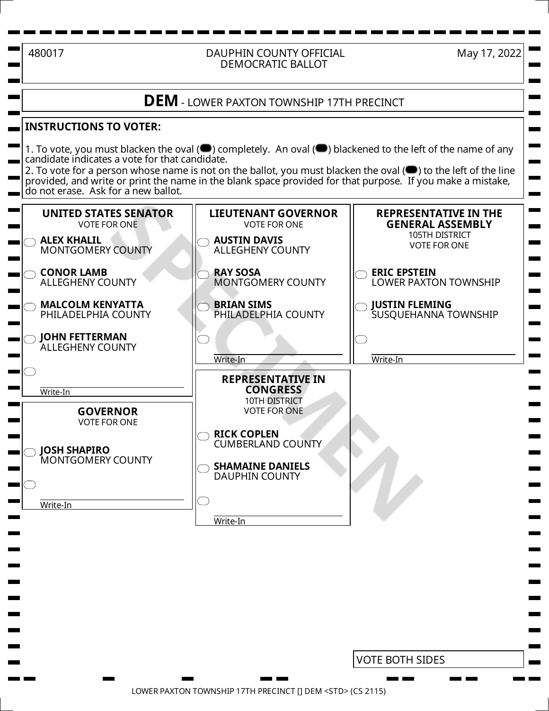## 480017 DAUPHIN COUNTY OFFICIAL DEMOCRATIC BALLOT

May 17, 2022

## **DEM** - LOWER PAXTON TOWNSHIP 17TH PRECINCT

## **INSTRUCTIONS TO VOTER:**

1. To vote, you must blacken the oval (**iii**) completely. An oval (**iii**) blackened to the left of the name of any candidate indicates a vote for that candidate.

2. To vote for a person whose name is not on the ballot, you must blacken the oval  $($ **)** to the left of the line provided, and write or print the name in the blank space provided for that purpose. If you make a mistake, do not erase. Ask for a new ballot.



VOTE BOTH SIDES